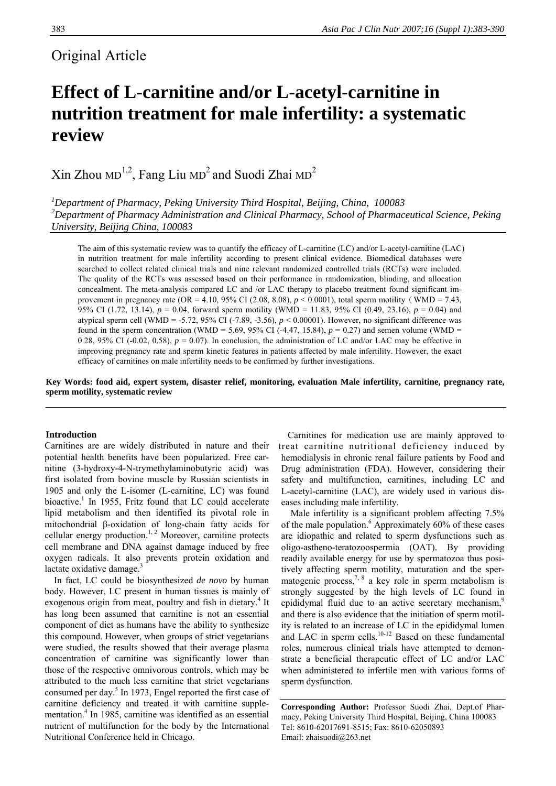# Original Article

# **Effect of L-carnitine and/or L-acetyl-carnitine in nutrition treatment for male infertility: a systematic review**

 $\mathrm{X}$ in Zhou MD<sup>1,2</sup>, Fang Liu MD<sup>2</sup> and Suodi Zhai MD<sup>2</sup>

*1 Department of Pharmacy, Peking University Third Hospital, Beijing, China, 100083 2 Department of Pharmacy Administration and Clinical Pharmacy, School of Pharmaceutical Science, Peking University, Beijing China, 100083* 

The aim of this systematic review was to quantify the efficacy of L-carnitine (LC) and/or L-acetyl-carnitine (LAC) in nutrition treatment for male infertility according to present clinical evidence. Biomedical databases were searched to collect related clinical trials and nine relevant randomized controlled trials (RCTs) were included. The quality of the RCTs was assessed based on their performance in randomization, blinding, and allocation concealment. The meta-analysis compared LC and /or LAC therapy to placebo treatment found significant improvement in pregnancy rate (OR = 4.10, 95% CI (2.08, 8.08),  $p < 0.0001$ ), total sperm motility (WMD = 7.43, 95% CI (1.72, 13.14), *p* = 0.04, forward sperm motility (WMD = 11.83, 95% CI (0.49, 23.16), *p* = 0.04) and atypical sperm cell (WMD = -5.72, 95% CI (-7.89, -3.56),  $p < 0.00001$ ). However, no significant difference was found in the sperm concentration (WMD = 5.69, 95% CI (-4.47, 15.84),  $p = 0.27$ ) and semen volume (WMD = 0.28, 95% CI (-0.02, 0.58),  $p = 0.07$ ). In conclusion, the administration of LC and/or LAC may be effective in improving pregnancy rate and sperm kinetic features in patients affected by male infertility. However, the exact efficacy of carnitines on male infertility needs to be confirmed by further investigations.

**Key Words: food aid, expert system, disaster relief, monitoring, evaluation Male infertility, carnitine, pregnancy rate, sperm motility, systematic review** 

#### **Introduction**

Carnitines are are widely distributed in nature and their potential health benefits have been popularized. Free carnitine (3-hydroxy-4-N-trymethylaminobutyric acid) was first isolated from bovine muscle by Russian scientists in 1905 and only the L-isomer (L-carnitine, LC) was found bioactive.<sup>1</sup> In 1955, Fritz found that LC could accelerate lipid metabolism and then identified its pivotal role in mitochondrial β-oxidation of long-chain fatty acids for cellular energy production.<sup>1, 2</sup> Moreover, carnitine protects cell membrane and DNA against damage induced by free oxygen radicals. It also prevents protein oxidation and lactate oxidative damage. $3$ 

In fact, LC could be biosynthesized *de novo* by human body. However, LC present in human tissues is mainly of exogenous origin from meat, poultry and fish in dietary.<sup>4</sup> It has long been assumed that carnitine is not an essential component of diet as humans have the ability to synthesize this compound. However, when groups of strict vegetarians were studied, the results showed that their average plasma concentration of carnitine was significantly lower than those of the respective omnivorous controls, which may be attributed to the much less carnitine that strict vegetarians consumed per day.<sup>5</sup> In 1973, Engel reported the first case of carnitine deficiency and treated it with carnitine supplementation.<sup>4</sup> In 1985, carnitine was identified as an essential nutrient of multifunction for the body by the International Nutritional Conference held in Chicago.

 Carnitines for medication use are mainly approved to treat carnitine nutritional deficiency induced by hemodialysis in chronic renal failure patients by Food and Drug administration (FDA). However, considering their safety and multifunction, carnitines, including LC and L-acetyl-carnitine (LAC), are widely used in various diseases including male infertility.

Male infertility is a significant problem affecting 7.5% of the male population.<sup>6</sup> Approximately 60% of these cases are idiopathic and related to sperm dysfunctions such as oligo-astheno-teratozoospermia (OAT). By providing readily available energy for use by spermatozoa thus positively affecting sperm motility, maturation and the spermatogenic process,<sup>7, 8</sup> a key role in sperm metabolism is strongly suggested by the high levels of LC found in epididymal fluid due to an active secretary mechanism,<sup>5</sup> and there is also evidence that the initiation of sperm motility is related to an increase of LC in the epididymal lumen and LAC in sperm cells. $10-12$  Based on these fundamental roles, numerous clinical trials have attempted to demonstrate a beneficial therapeutic effect of LC and/or LAC when administered to infertile men with various forms of sperm dysfunction.

**Corresponding Author:** Professor Suodi Zhai, Dept.of Pharmacy, Peking University Third Hospital, Beijing, China 100083 Tel: 8610-62017691-8515; Fax: 8610-62050893 Email: zhaisuodi@263.net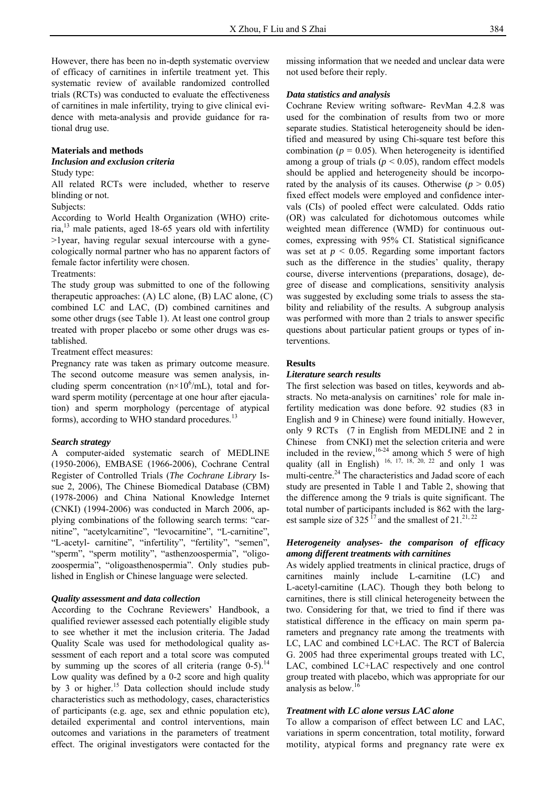However, there has been no in-depth systematic overview of efficacy of carnitines in infertile treatment yet. This systematic review of available randomized controlled trials (RCTs) was conducted to evaluate the effectiveness of carnitines in male infertility, trying to give clinical evidence with meta-analysis and provide guidance for rational drug use.

#### **Materials and methods**

*Inclusion and exclusion criteria* 

#### Study type:

All related RCTs were included, whether to reserve blinding or not.

#### Subjects:

According to World Health Organization (WHO) criteria,13 male patients, aged 18-65 years old with infertility >1year, having regular sexual intercourse with a gynecologically normal partner who has no apparent factors of female factor infertility were chosen.

#### Treatments:

The study group was submitted to one of the following therapeutic approaches: (A) LC alone, (B) LAC alone, (C) combined LC and LAC, (D) combined carnitines and some other drugs (see Table 1). At least one control group treated with proper placebo or some other drugs was established.

Treatment effect measures:

Pregnancy rate was taken as primary outcome measure. The second outcome measure was semen analysis, including sperm concentration  $(n \times 10^6/mL)$ , total and forward sperm motility (percentage at one hour after ejaculation) and sperm morphology (percentage of atypical forms), according to WHO standard procedures.<sup>13</sup>

#### *Search strategy*

A computer-aided systematic search of MEDLINE (1950-2006), EMBASE (1966-2006), Cochrane Central Register of Controlled Trials (*The Cochrane Library* Issue 2, 2006), The Chinese Biomedical Database (CBM) (1978-2006) and China National Knowledge Internet (CNKI) (1994-2006) was conducted in March 2006, applying combinations of the following search terms: "carnitine", "acetylcarnitine", "levocarnitine", "L-carnitine", "L-acetyl- carnitine", "infertility", "fertility", "semen", "sperm", "sperm motility", "asthenzoospermia", "oligozoospermia", "oligoasthenospermia". Only studies published in English or Chinese language were selected.

#### *Quality assessment and data collection*

According to the Cochrane Reviewers' Handbook, a qualified reviewer assessed each potentially eligible study to see whether it met the inclusion criteria. The Jadad Quality Scale was used for methodological quality assessment of each report and a total score was computed by summing up the scores of all criteria (range  $0-5$ ).<sup>14</sup> Low quality was defined by a 0-2 score and high quality by 3 or higher.<sup>15</sup> Data collection should include study characteristics such as methodology, cases, characteristics of participants (e.g. age, sex and ethnic population etc), detailed experimental and control interventions, main outcomes and variations in the parameters of treatment effect. The original investigators were contacted for the missing information that we needed and unclear data were not used before their reply.

### *Data statistics and analysis*

Cochrane Review writing software- RevMan 4.2.8 was used for the combination of results from two or more separate studies. Statistical heterogeneity should be identified and measured by using Chi-square test before this combination ( $p = 0.05$ ). When heterogeneity is identified among a group of trials ( $p < 0.05$ ), random effect models should be applied and heterogeneity should be incorporated by the analysis of its causes. Otherwise  $(p > 0.05)$ fixed effect models were employed and confidence intervals (CIs) of pooled effect were calculated. Odds ratio (OR) was calculated for dichotomous outcomes while weighted mean difference (WMD) for continuous outcomes, expressing with 95% CI. Statistical significance was set at  $p < 0.05$ . Regarding some important factors such as the difference in the studies' quality, therapy course, diverse interventions (preparations, dosage), degree of disease and complications, sensitivity analysis was suggested by excluding some trials to assess the stability and reliability of the results. A subgroup analysis was performed with more than 2 trials to answer specific questions about particular patient groups or types of interventions.

## **Results**

#### *Literature search results*

The first selection was based on titles, keywords and abstracts. No meta-analysis on carnitines' role for male infertility medication was done before. 92 studies (83 in English and 9 in Chinese) were found initially. However, only 9 RCTs (7 in English from MEDLINE and 2 in Chinese from CNKI) met the selection criteria and were included in the review,  $16-24$  among which 5 were of high quality (all in English)  $16$ ,  $17$ ,  $18$ ,  $20$ ,  $22$  and only 1 was multi-centre.<sup>24</sup> The characteristics and Jadad score of each study are presented in Table 1 and Table 2, showing that the difference among the 9 trials is quite significant. The total number of participants included is 862 with the largest sample size of 325<sup>17</sup> and the smallest of 21.<sup>21, 22</sup>

# *Heterogeneity analyses- the comparison of efficacy among different treatments with carnitines*

As widely applied treatments in clinical practice, drugs of carnitines mainly include L-carnitine (LC) and L-acetyl-carnitine (LAC). Though they both belong to carnitines, there is still clinical heterogeneity between the two. Considering for that, we tried to find if there was statistical difference in the efficacy on main sperm parameters and pregnancy rate among the treatments with LC, LAC and combined LC+LAC. The RCT of Balercia G. 2005 had three experimental groups treated with LC, LAC, combined LC+LAC respectively and one control group treated with placebo, which was appropriate for our analysis as below.<sup>16</sup>

#### *Treatment with LC alone versus LAC alone*

To allow a comparison of effect between LC and LAC, variations in sperm concentration, total motility, forward motility, atypical forms and pregnancy rate were ex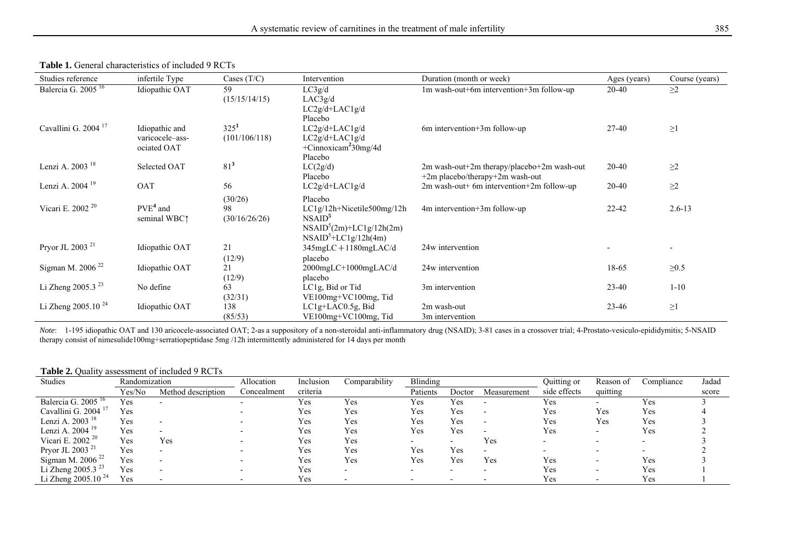| Studies reference                            | infertile Type  | Cases $(T/C)$    | Intervention                     | Duration (month or week)                      | Ages (years) | Course (years)           |
|----------------------------------------------|-----------------|------------------|----------------------------------|-----------------------------------------------|--------------|--------------------------|
| Balercia $\overline{G}$ . 2005 <sup>16</sup> | Idiopathic OAT  | 59               | LC3g/d                           | 1m wash-out+6m intervention+3m follow-up      | 20-40        | $\geq$ 2                 |
|                                              |                 | (15/15/14/15)    | LAC3g/d                          |                                               |              |                          |
|                                              |                 |                  | LC2g/d+LAC1g/d                   |                                               |              |                          |
|                                              |                 |                  | Placebo                          |                                               |              |                          |
| Cavallini G. 2004 <sup>17</sup>              | Idiopathic and  | 325 <sup>1</sup> | $LC2g/d+LAC1g/d$                 | 6m intervention+3m follow-up                  | 27-40        | $\geq1$                  |
|                                              | varicocele-ass- | (101/106/118)    | $LC2g/d+LAC1g/d$                 |                                               |              |                          |
|                                              | ociated OAT     |                  | +Cinnoxicam <sup>2</sup> 30mg/4d |                                               |              |                          |
|                                              |                 |                  | Placebo                          |                                               |              |                          |
| Lenzi A. 2003 <sup>18</sup>                  | Selected OAT    | $81^3$           | LC(2g/d)                         | 2m wash-out+2m therapy/placebo+2m wash-out    | 20-40        | $\geq$ 2                 |
|                                              |                 |                  | Placebo                          | $+2m$ placebo/therapy $+2m$ wash-out          |              |                          |
| Lenzi A. 2004 <sup>19</sup>                  | OAT             | 56               | $LC2g/d+LAC1g/d$                 | $2m$ wash-out 6m intervention $+2m$ follow-up | 20-40        | $\geq$ 2                 |
|                                              |                 | (30/26)          | Placebo                          |                                               |              |                          |
| Vicari E. 2002 <sup>20</sup>                 | $PVE4$ and      | 98               | $LC1g/12h+Nicetile500mg/12h$     | 4m intervention+3m follow-up                  | $22 - 42$    | $2.6 - 13$               |
|                                              | seminal WBC1    | (30/16/26/26)    | NSAID <sup>5</sup>               |                                               |              |                          |
|                                              |                 |                  | $NSAID5(2m)+LClg/12h(2m)$        |                                               |              |                          |
|                                              |                 |                  | $NSAID5+LC1g/12h(4m)$            |                                               |              |                          |
| Pryor JL 2003 <sup>21</sup>                  | Idiopathic OAT  | 21               | $345mgLC + 1180mgLAC/d$          | 24w intervention                              |              | $\overline{\phantom{0}}$ |
|                                              |                 | (12/9)           | placebo                          |                                               |              |                          |
| Sigman M. 2006 <sup>22</sup>                 | Idiopathic OAT  | 21               | $2000$ mg $LC+1000$ mg $LAC/d$   | 24w intervention                              | 18-65        | $\geq 0.5$               |
|                                              |                 | (12/9)           | placebo                          |                                               |              |                          |
| Li Zheng 2005.3 <sup>23</sup>                | No define       | 63               | LC1g, Bid or Tid                 | 3m intervention                               | 23-40        | $1 - 10$                 |
|                                              |                 | (32/31)          | $VE100mg+VC100mg$ , Tid          |                                               |              |                          |
| Li Zheng $2005.10^{24}$                      | Idiopathic OAT  | 138              | $LC1g+LAC0.5g$ , Bid             | 2m wash-out                                   | $23 - 46$    | $\geq1$                  |
|                                              |                 | (85/53)          | VE100mg+VC100mg, Tid             | 3m intervention                               |              |                          |

#### **Table 1.** General characteristics of included 9 RCTs

*Note*: 1-195 idiopathic OAT and 130 aricocele-associated OAT; 2-as a suppository of a non-steroidal anti-inflammatory drug (NSAID); 3-81 cases in a crossover trial; 4-Prostato-vesiculo-epididymitis; 5-NSAID therapy consist of nimesulide100mg+serratiopeptidase 5mg /12h intermittently administered for 14 days per month

#### **Table 2.** Quality assessment of included 9 RCTs

| <b>Studies</b>                 | Randomization |                    | Allocation  | Inclusion | Comparability | Blinding |        |                          | Quitting or  | Reason of                | Compliance | Jadad |
|--------------------------------|---------------|--------------------|-------------|-----------|---------------|----------|--------|--------------------------|--------------|--------------------------|------------|-------|
|                                | Yes/No        | Method description | Concealment | criteria  |               | Patients | Doctor | Measurement              | side effects | quitting                 |            | score |
| Balercia G. 2005 <sup>16</sup> | Yes           |                    |             | Yes       | Yes           | Yes      | Yes    |                          | Yes          |                          | Yes        |       |
| Cavallini G. 2004 <sup>1</sup> | Yes           |                    |             | Yes       | Yes           | Yes      | Yes    | $\overline{\phantom{0}}$ | Yes          | Yes                      | Yes        |       |
| Lenzi A. 2003 <sup>18</sup>    | Yes           |                    |             | Yes       | Yes           | Yes      | Yes    |                          | Yes          | Yes                      | Yes        |       |
| Lenzi A. 2004 <sup>19</sup>    | Yes           |                    |             | Yes       | Yes           | Yes      | Yes    |                          | Yes          |                          | Yes        |       |
| Vicari E. 2002 <sup>20</sup>   | Yes           | Yes                |             | Yes       | Yes           |          |        | Yes                      |              |                          |            |       |
| Pryor JL 2003 $^2$             | Yes           |                    |             | Yes       | Yes           | Yes      | Yes    |                          |              |                          |            |       |
| Sigman M. 2006 $22$            | Yes           |                    |             | Yes       | Yes           | Yes      | Yes    | Yes                      | Y es         | $\overline{\phantom{0}}$ | Yes        |       |
| Li Zheng 2005.3 $^{23}$        | Yes           |                    |             | Yes       |               |          |        |                          | Yes          |                          | Yes        |       |
| Li Zheng 2005.10 <sup>24</sup> | Yes           |                    |             | Yes       |               |          |        |                          | Yes          |                          | Yes        |       |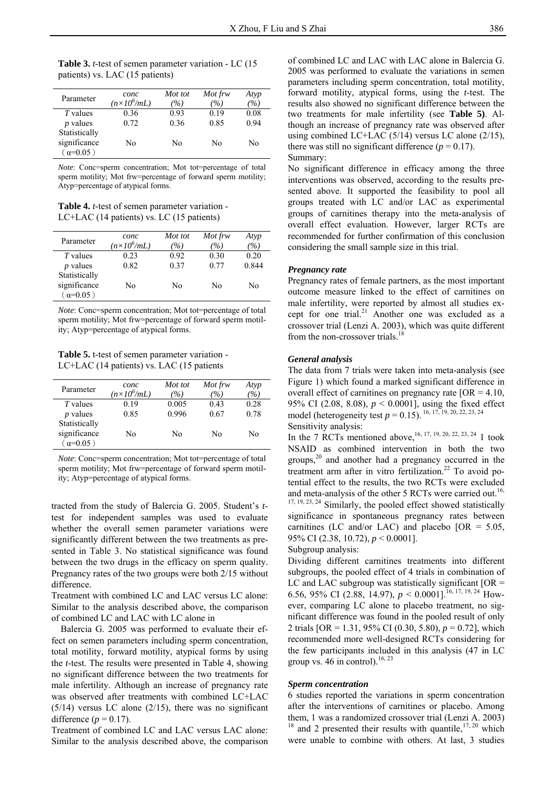**Table 3.** *t*-test of semen parameter variation - LC (15 patients) vs. LAC (15 patients)

| Parameter                     | conc<br>$(n \times 10^6/mL)$ | Mot tot<br>(%) | Mot frw<br>(%) | Atyp<br>$\frac{1}{2}$ |
|-------------------------------|------------------------------|----------------|----------------|-----------------------|
| <i>T</i> values               | 0.36                         | 0.93           | 0.19           | 0.08                  |
| $p$ values                    | 0.72                         | 0.36           | 0.85           | 0.94                  |
| Statistically<br>significance | No                           | No             | No             | Nο                    |
| $\alpha=0.05$ )               |                              |                |                |                       |

*Note*: Conc=sperm concentration; Mot tot=percentage of total sperm motility; Mot frw=percentage of forward sperm motility; Atyp=percentage of atypical forms.

**Table 4.** *t*-test of semen parameter variation - LC+LAC (14 patients) vs. LC (15 patients)

| Parameter       | conc<br>$(n \times 10^6/mL)$ | Mot tot<br>$( \% )$ | Mot frw<br>$( \% )$ | Atyp<br>$\%$ |
|-----------------|------------------------------|---------------------|---------------------|--------------|
| <i>T</i> values | 0.23                         | 0.92                | 0.30                | 0.20         |
| $p$ values      | 0.82                         | 0.37                | 0.77                | 0.844        |
| Statistically   |                              |                     |                     |              |
| significance    | No                           | No                  | Nο                  | Nο           |
| $\alpha=0.05$ ) |                              |                     |                     |              |

*Note*: Conc=sperm concentration; Mot tot=percentage of total sperm motility; Mot frw=percentage of forward sperm motility; Atyp=percentage of atypical forms.

**Table 5.** t-test of semen parameter variation - LC+LAC (14 patients) vs. LAC (15 patients

| Parameter       | conc<br>$(n \times 10^6/mL)$ | Mot tot<br>(%) | Mot frw<br>(9/6) | Atyp<br>$\%$ |
|-----------------|------------------------------|----------------|------------------|--------------|
| <i>T</i> values | 0.19                         | 0.005          | 0.43             | 0.28         |
| $p$ values      | 0.85                         | 0.996          | 0.67             | 0.78         |
| Statistically   |                              |                |                  |              |
| significance    | No                           | No             | Nο               | No           |
| $(\alpha=0.05)$ |                              |                |                  |              |

*Note*: Conc=sperm concentration; Mot tot=percentage of total sperm motility; Mot frw=percentage of forward sperm motility; Atyp=percentage of atypical forms.

tracted from the study of Balercia G. 2005. Student's *t*test for independent samples was used to evaluate whether the overall semen parameter variations were significantly different between the two treatments as presented in Table 3. No statistical significance was found between the two drugs in the efficacy on sperm quality. Pregnancy rates of the two groups were both 2/15 without difference.

Treatment with combined LC and LAC versus LC alone: Similar to the analysis described above, the comparison of combined LC and LAC with LC alone in

 Balercia G. 2005 was performed to evaluate their effect on semen parameters including sperm concentration, total motility, forward motility, atypical forms by using the *t*-test. The results were presented in Table 4, showing no significant difference between the two treatments for male infertility. Although an increase of pregnancy rate was observed after treatments with combined LC+LAC  $(5/14)$  versus LC alone  $(2/15)$ , there was no significant difference  $(p = 0.17)$ .

Treatment of combined LC and LAC versus LAC alone: Similar to the analysis described above, the comparison of combined LC and LAC with LAC alone in Balercia G. 2005 was performed to evaluate the variations in semen parameters including sperm concentration, total motility, forward motility, atypical forms, using the *t*-test. The results also showed no significant difference between the two treatments for male infertility (see **Table 5)**. Although an increase of pregnancy rate was observed after using combined LC+LAC (5/14) versus LC alone (2/15), there was still no significant difference  $(p = 0.17)$ . Summary:

No significant difference in efficacy among the three interventions was observed, according to the results presented above. It supported the feasibility to pool all groups treated with LC and/or LAC as experimental groups of carnitines therapy into the meta-analysis of overall effect evaluation. However, larger RCTs are recommended for further confirmation of this conclusion considering the small sample size in this trial.

# *Pregnancy rate*

Pregnancy rates of female partners, as the most important outcome measure linked to the effect of carnitines on male infertility, were reported by almost all studies except for one trial.<sup>21</sup> Another one was excluded as a crossover trial (Lenzi A. 2003), which was quite different from the non-crossover trials.<sup>18</sup>

#### *General analysis*

The data from 7 trials were taken into meta-analysis (see Figure 1) which found a marked significant difference in overall effect of carnitines on pregnancy rate  $[OR = 4.10]$ , 95% CI (2.08, 8.08), *p* < 0.0001], using the fixed effect model (heterogeneity test  $p = 0.15$ ). <sup>16, 17, 19, 20, 22, 23, 24</sup> Sensitivity analysis:

In the 7 RCTs mentioned above,  $^{16, 17, 19, 20, 22, 23, 24}$  1 took NSAID as combined intervention in both the two groups,20 and another had a pregnancy occurred in the treatment arm after in vitro fertilization.<sup>22</sup> To avoid potential effect to the results, the two RCTs were excluded and meta-analysis of the other 5 RCTs were carried out.<sup>16,</sup> <sup>17, 19, 23, 24</sup> Similarly, the pooled effect showed statistically significance in spontaneous pregnancy rates between carnitines (LC and/or LAC) and placebo  $[OR = 5.05]$ , 95% CI (2.38, 10.72), *p* < 0.0001].

#### Subgroup analysis:

Dividing different carnitines treatments into different subgroups, the pooled effect of 4 trials in combination of LC and LAC subgroup was statistically significant  $[OR =$ 6.56, 95% CI (2.88, 14.97),  $p < 0.0001$ <sup>16, 17, 19, 24</sup> However, comparing LC alone to placebo treatment, no significant difference was found in the pooled result of only 2 trials [OR = 1.31, 95% CI (0.30, 5.80), *p* = 0.72], which recommended more well-designed RCTs considering for the few participants included in this analysis (47 in LC group vs. 46 in control).<sup>16, 23</sup>

#### *Sperm concentration*

6 studies reported the variations in sperm concentration after the interventions of carnitines or placebo. Among them, 1 was a randomized crossover trial (Lenzi A. 2003)  $18$  and 2 presented their results with quantile,  $17, 20$  which were unable to combine with others. At last, 3 studies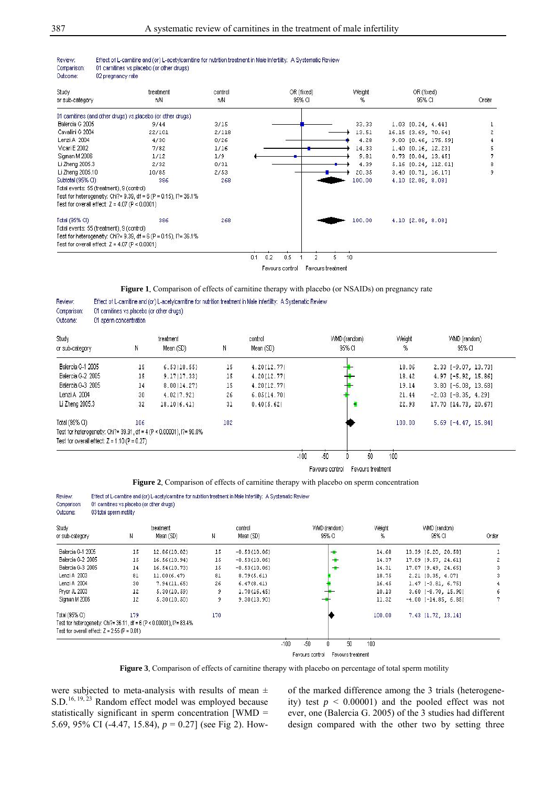Effect of L-carnitine and (or) L-acetylcarnitine for nutrition treatment in Male Infertility: A Systematic Review

| Study                                            | treatment                                                                   | control | OR (fixed) | Weight: | OR (fixed)             |       |
|--------------------------------------------------|-----------------------------------------------------------------------------|---------|------------|---------|------------------------|-------|
| or sub-category                                  | nN                                                                          | nN      | 95% CI     | %       | 95% CI                 | Order |
|                                                  | 01 carnitines (and other drugs) vs.placebo (or other drugs)                 |         |            |         |                        |       |
| Balercia G 2005                                  | 9/44                                                                        | 3/15    |            | 33.33   | $1.03$ $[0.24, 4.44]$  |       |
| Cavallini G 2004                                 | 22/101                                                                      | 2/118   |            | 13.51   | 16.15 [3.69, 70.64]    |       |
| Lenzi A 2004                                     | 4/30                                                                        | 0/26    |            | 4.28    | 9.00 [0.46, 175.59]    |       |
| Vicari E 2002                                    | 7/82                                                                        | 1/16    |            | 14.33   | $1.40$ $[0.16, 12.23]$ |       |
| Sigman M 2006                                    | 1/12                                                                        | 1/9     |            | 9.81    | $0.73$ $[0.04, 13.45]$ | 7     |
| Li Zheng 2005.3                                  | 2/32                                                                        | 0/31    |            | 4.39    | 5.16 [0.24, 112.01]    | 8     |
| Li Zheng 2005.10                                 | 10/85                                                                       | 2/53    |            | 20.35   | 3.40 [0.71, 16.17]     | 9     |
| Subtotal (95% CI)                                | 386                                                                         | 268     |            | 100.00  | 4.10 [2.08, 8.08]      |       |
| Total events: 55 (treatment), 9 (control)        |                                                                             |         |            |         |                        |       |
|                                                  | Test for heterogeneity: Chi?= $9.39$ , df = $6$ (P = $0.15$ ), l?= $36.1\%$ |         |            |         |                        |       |
| Test for overall effect: $Z = 4.07$ (P < 0.0001) |                                                                             |         |            |         |                        |       |
| Total (95% CI)                                   | 386                                                                         | 268     |            | 100.00  | $4.10$ $[2.08, 8.08]$  |       |
| Total events: 55 (treatment), 9 (control)        |                                                                             |         |            |         |                        |       |
|                                                  | Test for heterogeneity: Chi?= $9.39$ , df = $6$ (P = $0.15$ ), l?= $36.1\%$ |         |            |         |                        |       |
| Test for overall effect: $Z = 4.07$ (P < 0.0001) |                                                                             |         |            |         |                        |       |

Favours control Favours treatment

**Figure 1**. Comparison of effects of carnitine therapy with placebo (or NSAIDs) on pregnancy rate

| Review:<br>Comparison:<br>Outcome: | 01 carnitines vs.placebo (or other drugs)<br>01 sperm concentration |                                                                      |     | Effect of L-carnitine and (or) L-acetylcarnitine for nutrition treatment in Male Infertility: A Systematic Review |              |        |                         |
|------------------------------------|---------------------------------------------------------------------|----------------------------------------------------------------------|-----|-------------------------------------------------------------------------------------------------------------------|--------------|--------|-------------------------|
| Study                              |                                                                     | treatment                                                            |     | control                                                                                                           | VWD (random) | Weight | VMD (random)            |
| or sub-category                    | Ν                                                                   | Mean (SD)                                                            | Ν   | Mean (SD)                                                                                                         | 95% CI       | %      | 95% CI                  |
| Balercia G-1 2005                  | 15                                                                  | 6.53(18.55)                                                          | 15  | 4.20(12.77)                                                                                                       |              | 18.06  | 2.33 [-9.07, 13.73]     |
| Balercia G-2 2005                  | 15                                                                  | 9.17(17.33)                                                          | 15  | 4.20(12.77)                                                                                                       |              | 18.42  | $4.97[-5.92, 15.86]$    |
| Balercia G-3 2005                  | 14                                                                  | 8.00(14.27)                                                          | 15  | 4.20(12.77)                                                                                                       |              | 19.14  | $3.80$ [-6.08, 13.68]   |
| Lenzi A 2004                       | 30                                                                  | 4.02(7.92)                                                           | 26  | 6.05(14.70)                                                                                                       |              | 21.44  | $-2.03$ $[-8.35, 4.29]$ |
| Li Zheng 2005.3                    | 32                                                                  | 18.10(6.41)                                                          | 31  | 0.40(5.62)                                                                                                        |              | 22.93  | 17.70 [14.73, 20.67]    |
| Total (95% CI)                     | 106                                                                 |                                                                      | 102 |                                                                                                                   |              | 100.00 | $5.69$ $[-4.47, 15.84]$ |
|                                    |                                                                     | Test for heterogeneity: Chi?= 39.91, df = 4 (P < 0.00001), l?= 90.0% |     |                                                                                                                   |              |        |                         |
|                                    | Test for overall effect: $Z = 1.10$ (P = 0.27)                      |                                                                      |     |                                                                                                                   |              |        |                         |
|                                    |                                                                     |                                                                      |     | $-100$                                                                                                            | $-50$<br>50  | 100    |                         |

Favours control Favours treatment

**Figure 2**. Comparison of effects of carnitine therapy with placebo on sperm concentration

Effect of L-carnitine and (or) L-acetylcarnitine for nutrition treatment in Male Infertility: A Systematic Review

| Comparison:<br>Outcome:                                              | 01 carnitines vs.placebo (or other drugs)<br>03 total sperm motility |                        |     |                      |                        |                                    |                            |       |
|----------------------------------------------------------------------|----------------------------------------------------------------------|------------------------|-----|----------------------|------------------------|------------------------------------|----------------------------|-------|
| Study<br>or sub-category                                             | Ν                                                                    | treatment<br>Mean (SD) | Ν   | control<br>Mean (SD) | VWD (random)<br>95% CI | Weight<br>%                        | VMD (random)<br>95% CI     | Order |
| Balercia G-1 2005                                                    | 15                                                                   | 12.86(10.02)           | 15  | $-0.53(10.06)$       | ÷                      | 14.68                              | 13.39 [6.20, 20.58]        |       |
| Balercia G-2 2005                                                    | 15                                                                   | 16.56(10.94)           | 15  | $-0.53(10.06)$       | ÷                      | 14.37                              | 17.09 [9.57, 24.61]        | 2     |
| Balercia G-3 2005                                                    | 14                                                                   | 16.54(10.73)           | 15  | $-0.53(10.06)$       |                        | 14.31                              | 17.07 [9.49, 24.65]        | 3     |
| Lenzi A 2003                                                         | 81                                                                   | 11.00(6.47)            | 81  | 8.79(5.61)           |                        | 18.75                              | 2.21 [0.35, 4.07]          | 3     |
| Lenzi A 2004                                                         | 30                                                                   | 7.94(11.65)            | 26  | 6.47(8.41)           |                        | 16.45                              | $1.47$ [-3.81, 6.75]       |       |
| Pryor JL 2003                                                        | 12                                                                   | 5.30(10.59)            |     | 1.70(16.45)          |                        | 10.13                              | $3.60$ [-8.70, 15.90]      | 6     |
| Sigman M 2006                                                        | 12                                                                   | 5.30(10.50)            | 9   | 9.30(13.90)          |                        | 11.32                              | $-4.00$ [ $-14.85$ , 6.85] | 7     |
| Total (95% CI)                                                       | 179                                                                  |                        | 170 |                      |                        | <b>CAN MAY 11 (2002)</b><br>100.00 | 7.43 [1.72, 13.14]         |       |
| Test for heterogeneity: Chi?= 36.11, df = 6 (P < 0.00001), l?= 83.4% |                                                                      |                        |     |                      |                        |                                    |                            |       |
| Test for overall effect: $Z = 2.55$ (P = 0.01)                       |                                                                      |                        |     |                      |                        |                                    |                            |       |
|                                                                      |                                                                      |                        |     |                      | $-50$<br>$-100$<br>n   | 100<br>50                          |                            |       |
|                                                                      |                                                                      |                        |     |                      | Favours control        | Favours treatment                  |                            |       |

Figure 3. Comparison of effects of carnitine therapy with placebo on percentage of total sperm motility

were subjected to meta-analysis with results of mean  $\pm$ S.D.<sup>16, 19, 23</sup> Random effect model was employed because statistically significant in sperm concentration [WMD = 5.69, 95% CI (-4.47, 15.84), *p* = 0.27] (see Fig 2). Howof the marked difference among the 3 trials (heterogeneity) test  $p \le 0.00001$  and the pooled effect was not ever, one (Balercia G. 2005) of the 3 studies had different design compared with the other two by setting three

Review:

Review: Comparison: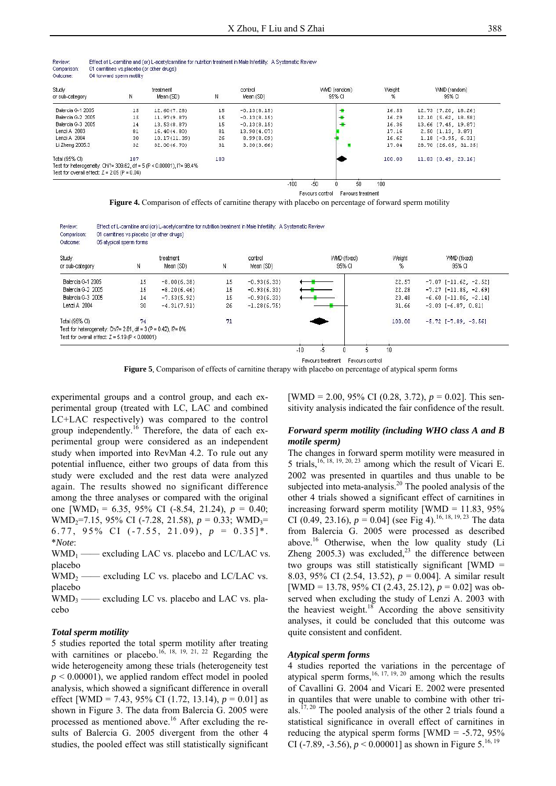| Review:     | Effect of L-carnitine and (or) L-acetylcarnitine for nutrition treatment in Male Infertility: A Systematic Review |
|-------------|-------------------------------------------------------------------------------------------------------------------|
| Comparison: | 01 carnitines vs.placebo (or other drugs)                                                                         |
| Outcome:    | 04 forward sperm motility                                                                                         |

| <b>Study</b>                                                          |     | treatment    |     | control       | <b>WMD</b> (random) | Weight | WMD (random)          |
|-----------------------------------------------------------------------|-----|--------------|-----|---------------|---------------------|--------|-----------------------|
| or sub-category                                                       | N   | Mean (SD)    | N   | Mean (SD)     | 95% CI              | %      | 95% CI                |
| Balercia G-1 2005                                                     | 15  | 12.60(7.28)  | 15  | $-0.13(8.15)$ |                     | 16.53  | 12.73 [7.20, 18.26]   |
| Balercia G-2 2005                                                     | 15  | 11.97(9.87)  | 15  | $-0.13(8.15)$ |                     | 16.29  | 12.10 [5.62, 18.58]   |
| Balercia G-3 2005                                                     | 14  | 13.53(8.87)  | 15  | $-0.13(8.15)$ |                     | 16.36  | 13.66 [7.45, 19.87]   |
| Lenzi A 2003                                                          | 81  | 16.40(4.80)  | 81  | 13.90(4.07)   |                     | 17.16  | $2.50$ $[1.13, 3.87]$ |
| Lenzi A 2004                                                          | 30  | 10.17(11.39) | 26  | 8.99(8.09)    |                     | 16.62  | $1.18$ [-3.95, 6.31]  |
| Li Zheng 2005.3                                                       | 32  | 32.00(6.70)  | 31  | 3.30(3.66)    |                     | 17.04  | 28.70 [26.05, 31.35]  |
| Total (95% CI)                                                        | 187 |              | 183 |               |                     | 100.00 | 11.83 (0.49, 23.16)   |
| Test for heterogeneity: Chi?= 309.62, df = 5 (P < 0.00001), l?= 98.4% |     |              |     |               |                     |        |                       |
| Test for overall effect: $Z = 2.05$ (P = 0.04)                        |     |              |     |               |                     |        |                       |

Favours control Favours treatment

**Figure 4.** Comparison of effects of carnitine therapy with placebo on percentage of forward sperm motility

| Review:     | Effect of L-carnitine and (or) L-acetylcarnitine for nutrition treatment in Male Infertility: A Systematic Review |
|-------------|-------------------------------------------------------------------------------------------------------------------|
| Comparison: | 01 carnitines vs.placebo (or other drugs)                                                                         |
| Outcome:    | 05 atypical sperm forms                                                                                           |

| Study                                                         |    | treatment     |    | control       | <b>WMD</b> (fixed) | Weight | WMD (fixed)                    |
|---------------------------------------------------------------|----|---------------|----|---------------|--------------------|--------|--------------------------------|
| or sub-category                                               | N  | Mean (SD)     | Ν  | Mean (SD)     | 95% CI             | %      | 95% CI                         |
| Balercia G-1 2005                                             | 15 | $-8.00(6.38)$ | 15 | $-0.93(6.33)$ |                    | 22.57  | $-7.07$ [ $-11.62$ , $-2.52$ ] |
| Balercia G-2 2005                                             | 15 | $-8.20(6.46)$ | 15 | $-0.93(6.33)$ |                    | 22.28  | $-7.27$ [ $-11.85$ , $-2.69$ ] |
| Balercia G-3 2005                                             | 14 | $-7.53(5.92)$ | 15 | $-0.93(6.33)$ |                    | 23.48  | $-6.60$ [-11.06, -2.14]        |
| Lenzi A 2004                                                  | 30 | $-4.31(7.91)$ | 26 | $-1.28(6.75)$ |                    | 31.66  | $-3.03$ $[-6.87, 0.81]$        |
| Total (95% CI)                                                | 74 |               | 71 |               |                    | 100.00 | $-5.72$ [-7.89, -3.56]         |
| Test for heterogeneity: Chi?= 2.81, df = 3 (P = 0.42), l?= 0% |    |               |    |               |                    |        |                                |
| Test for overall effect: $Z = 5.19$ (P < 0.00001)             |    |               |    |               |                    |        |                                |

**Favours treatment** Favours control<br>**Figure 5.** Comparison of effects of carnitine therapy with placebo on percentage of atypical sperm forms

experimental groups and a control group, and each experimental group (treated with LC, LAC and combined LC+LAC respectively) was compared to the control group independently.<sup>16</sup> Therefore, the data of each experimental group were considered as an independent study when imported into RevMan 4.2. To rule out any potential influence, either two groups of data from this study were excluded and the rest data were analyzed again. The results showed no significant difference among the three analyses or compared with the original one [WMD<sub>1</sub> = 6.35, 95% CI (-8.54, 21.24),  $p = 0.40$ ; WMD<sub>2</sub>=7.15, 95% CI (-7.28, 21.58),  $p = 0.33$ ; WMD<sub>3</sub>= 6.77, 95% CI  $(-7.55, 21.09)$ ,  $p = 0.35$ <sup>\*</sup>. \**Note*:

 $WMD_1$  —— excluding LAC vs. placebo and LC/LAC vs. placebo

 $WMD<sub>2</sub>$  —— excluding LC vs. placebo and LC/LAC vs. placebo

 $WMD_3$  —— excluding LC vs. placebo and LAC vs. placebo

#### *Total sperm motility*

5 studies reported the total sperm motility after treating with carnitines or placebo.<sup>16, 18, 19, 21, 22</sup> Regarding the wide heterogeneity among these trials (heterogeneity test  $p \le 0.00001$ , we applied random effect model in pooled analysis, which showed a significant difference in overall effect [WMD = 7.43, 95% CI (1.72, 13.14), *p* = 0.01] as shown in Figure 3. The data from Balercia G. 2005 were processed as mentioned above.<sup>16</sup> After excluding the results of Balercia G. 2005 divergent from the other 4 studies, the pooled effect was still statistically significant

[WMD = 2.00, 95% CI (0.28, 3.72), *p* = 0.02]. This sensitivity analysis indicated the fair confidence of the result.

# *Forward sperm motility (including WHO class A and B motile sperm)*

The changes in forward sperm motility were measured in 5 trials,16, 18, 19, 20, 23 among which the result of Vicari E. 2002 was presented in quartiles and thus unable to be subjected into meta-analysis.<sup>20</sup> The pooled analysis of the other 4 trials showed a significant effect of carnitines in increasing forward sperm motility [WMD =  $11.83$ ,  $95\%$ CI (0.49, 23.16),  $p = 0.04$ ] (see Fig 4).<sup>16, 18, 19, 23</sup> The data from Balercia G. 2005 were processed as described above.<sup>16</sup> Otherwise, when the low quality study (Li Zheng  $2005.3$ ) was excluded,<sup>23</sup> the difference between two groups was still statistically significant [WMD = 8.03, 95% CI (2.54, 13.52), *p* = 0.004]. A similar result [WMD = 13.78, 95% CI (2.43, 25.12), *p* = 0.02] was observed when excluding the study of Lenzi A. 2003 with the heaviest weight.<sup>18</sup> According the above sensitivity analyses, it could be concluded that this outcome was quite consistent and confident.

#### *Atypical sperm forms*

4 studies reported the variations in the percentage of atypical sperm forms,  $16, 17, 19, 20$  among which the results of Cavallini G. 2004 and Vicari E. 2002 were presented in quantiles that were unable to combine with other trials.17, 20 The pooled analysis of the other 2 trials found a statistical significance in overall effect of carnitines in reducing the atypical sperm forms  $[WMD = -5.72, 95\%$ CI (-7.89, -3.56),  $p < 0.00001$ ] as shown in Figure 5.<sup>16, 19</sup>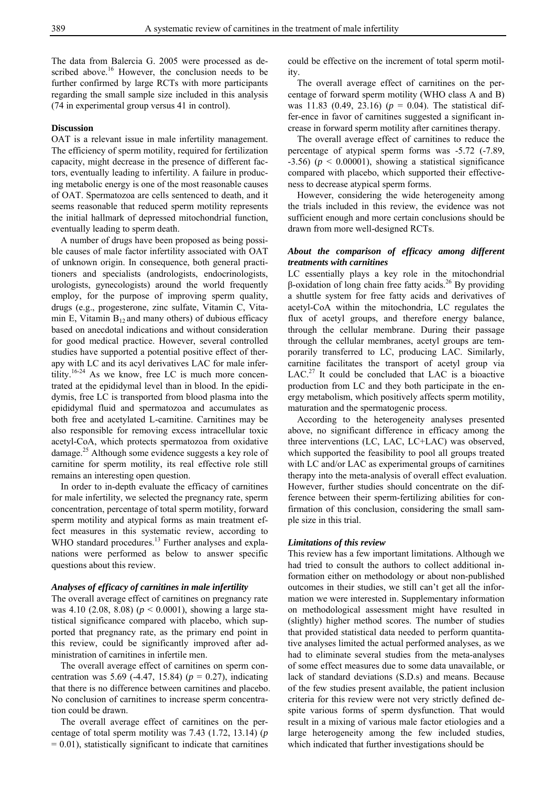The data from Balercia G. 2005 were processed as described above.<sup>16</sup> However, the conclusion needs to be further confirmed by large RCTs with more participants regarding the small sample size included in this analysis (74 in experimental group versus 41 in control).

#### **Discussion**

OAT is a relevant issue in male infertility management. The efficiency of sperm motility, required for fertilization capacity, might decrease in the presence of different factors, eventually leading to infertility. A failure in producing metabolic energy is one of the most reasonable causes of OAT. Spermatozoa are cells sentenced to death, and it seems reasonable that reduced sperm motility represents the initial hallmark of depressed mitochondrial function, eventually leading to sperm death.

A number of drugs have been proposed as being possible causes of male factor infertility associated with OAT of unknown origin. In consequence, both general practitioners and specialists (andrologists, endocrinologists, urologists, gynecologists) around the world frequently employ, for the purpose of improving sperm quality, drugs (e.g., progesterone, zinc sulfate, Vitamin C, Vitamin E, Vitamin  $B_{12}$  and many others) of dubious efficacy based on anecdotal indications and without consideration for good medical practice. However, several controlled studies have supported a potential positive effect of therapy with LC and its acyl derivatives LAC for male infertility.<sup>16-24</sup> As we know, free LC is much more concentrated at the epididymal level than in blood. In the epididymis, free LC is transported from blood plasma into the epididymal fluid and spermatozoa and accumulates as both free and acetylated L-carnitine. Carnitines may be also responsible for removing excess intracellular toxic acetyl-CoA, which protects spermatozoa from oxidative damage.<sup>25</sup> Although some evidence suggests a key role of carnitine for sperm motility, its real effective role still remains an interesting open question.

In order to in-depth evaluate the efficacy of carnitines for male infertility, we selected the pregnancy rate, sperm concentration, percentage of total sperm motility, forward sperm motility and atypical forms as main treatment effect measures in this systematic review, according to WHO standard procedures.<sup>13</sup> Further analyses and explanations were performed as below to answer specific questions about this review.

#### *Analyses of efficacy of carnitines in male infertility*

The overall average effect of carnitines on pregnancy rate was 4.10 (2.08, 8.08) (*p* < 0.0001), showing a large statistical significance compared with placebo, which supported that pregnancy rate, as the primary end point in this review, could be significantly improved after administration of carnitines in infertile men.

The overall average effect of carnitines on sperm concentration was 5.69 (-4.47, 15.84) (*p* = 0.27), indicating that there is no difference between carnitines and placebo. No conclusion of carnitines to increase sperm concentration could be drawn.

The overall average effect of carnitines on the percentage of total sperm motility was 7.43 (1.72, 13.14) (*p*   $= 0.01$ ), statistically significant to indicate that carnitines could be effective on the increment of total sperm motility.

The overall average effect of carnitines on the percentage of forward sperm motility (WHO class A and B) was 11.83 (0.49, 23.16) (*p* = 0.04). The statistical differ-ence in favor of carnitines suggested a significant increase in forward sperm motility after carnitines therapy.

The overall average effect of carnitines to reduce the percentage of atypical sperm forms was -5.72 (-7.89,  $-3.56$ ) ( $p < 0.00001$ ), showing a statistical significance compared with placebo, which supported their effectiveness to decrease atypical sperm forms.

However, considering the wide heterogeneity among the trials included in this review, the evidence was not sufficient enough and more certain conclusions should be drawn from more well-designed RCTs.

# *About the comparison of efficacy among different treatments with carnitines*

LC essentially plays a key role in the mitochondrial β-oxidation of long chain free fatty acids.26 By providing a shuttle system for free fatty acids and derivatives of acetyl-CoA within the mitochondria, LC regulates the flux of acetyl groups, and therefore energy balance, through the cellular membrane. During their passage through the cellular membranes, acetyl groups are temporarily transferred to LC, producing LAC. Similarly, carnitine facilitates the transport of acetyl group via  $LAC<sup>27</sup>$  It could be concluded that LAC is a bioactive production from LC and they both participate in the energy metabolism, which positively affects sperm motility, maturation and the spermatogenic process.

According to the heterogeneity analyses presented above, no significant difference in efficacy among the three interventions (LC, LAC, LC+LAC) was observed, which supported the feasibility to pool all groups treated with LC and/or LAC as experimental groups of carnitines therapy into the meta-analysis of overall effect evaluation. However, further studies should concentrate on the difference between their sperm-fertilizing abilities for confirmation of this conclusion, considering the small sample size in this trial.

#### *Limitations of this review*

This review has a few important limitations. Although we had tried to consult the authors to collect additional information either on methodology or about non-published outcomes in their studies, we still can't get all the information we were interested in. Supplementary information on methodological assessment might have resulted in (slightly) higher method scores. The number of studies that provided statistical data needed to perform quantitative analyses limited the actual performed analyses, as we had to eliminate several studies from the meta-analyses of some effect measures due to some data unavailable, or lack of standard deviations (S.D.s) and means. Because of the few studies present available, the patient inclusion criteria for this review were not very strictly defined despite various forms of sperm dysfunction. That would result in a mixing of various male factor etiologies and a large heterogeneity among the few included studies, which indicated that further investigations should be